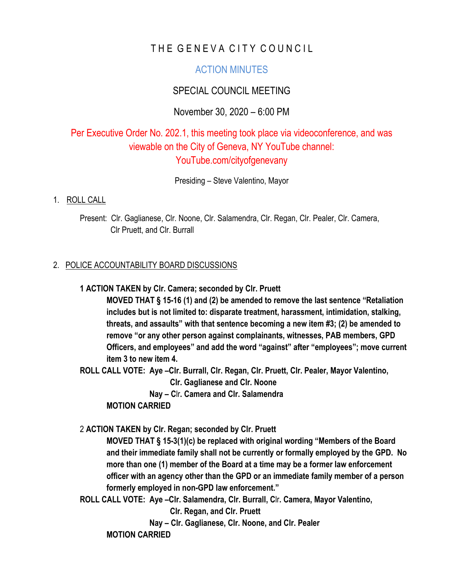# THE GENEVA CITY COUNCIL

## ACTION MINUTES

## SPECIAL COUNCIL MEETING

### November 30, 2020 – 6:00 PM

# Per Executive Order No. 202.1, this meeting took place via videoconference, and was viewable on the City of Geneva, NY YouTube channel: YouTube.com/cityofgenevany

Presiding – Steve Valentino, Mayor

#### 1. ROLL CALL

 Present: Clr. Gaglianese, Clr. Noone, Clr. Salamendra, Clr. Regan, Clr. Pealer, Clr. Camera, Clr Pruett, and Clr. Burrall

#### 2. POLICE ACCOUNTABILITY BOARD DISCUSSIONS

#### **1 ACTION TAKEN by Clr. Camera; seconded by Clr. Pruett**

**MOVED THAT § 15-16 (1) and (2) be amended to remove the last sentence "Retaliation includes but is not limited to: disparate treatment, harassment, intimidation, stalking, threats, and assaults" with that sentence becoming a new item #3; (2) be amended to remove "or any other person against complainants, witnesses, PAB members, GPD Officers, and employees" and add the word "against" after "employees"; move current item 3 to new item 4.** 

**ROLL CALL VOTE: Aye –Clr. Burrall, Clr. Regan, Clr. Pruett, Clr. Pealer, Mayor Valentino,**

 **Clr. Gaglianese and Clr. Noone**

 **Nay – C**lr**. Camera and Clr. Salamendra**

#### **MOTION CARRIED**

#### 2 **ACTION TAKEN by Clr. Regan; seconded by Clr. Pruett**

**MOVED THAT § 15-3(1)(c) be replaced with original wording "Members of the Board and their immediate family shall not be currently or formally employed by the GPD. No more than one (1) member of the Board at a time may be a former law enforcement officer with an agency other than the GPD or an immediate family member of a person formerly employed in non-GPD law enforcement."**

**ROLL CALL VOTE: Aye –Clr. Salamendra, Clr. Burrall, C**lr**. Camera, Mayor Valentino,** 

 **Clr. Regan, and Clr. Pruett**

 **Nay – Clr. Gaglianese, Clr. Noone, and Clr. Pealer**

**MOTION CARRIED**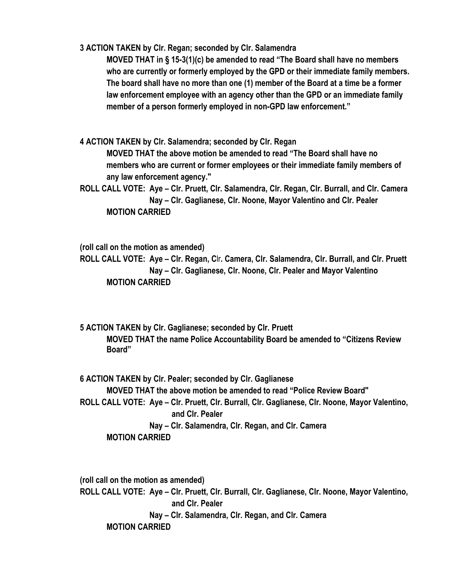**3 ACTION TAKEN by Clr. Regan; seconded by Clr. Salamendra**

**MOVED THAT in § 15-3(1)(c) be amended to read "The Board shall have no members who are currently or formerly employed by the GPD or their immediate family members. The board shall have no more than one (1) member of the Board at a time be a former law enforcement employee with an agency other than the GPD or an immediate family member of a person formerly employed in non-GPD law enforcement."**

**4 ACTION TAKEN by Clr. Salamendra; seconded by Clr. Regan MOVED THAT the above motion be amended to read "The Board shall have no members who are current or former employees or their immediate family members of any law enforcement agency."**

**ROLL CALL VOTE: Aye – Clr. Pruett, Clr. Salamendra, Clr. Regan, Clr. Burrall, and Clr. Camera Nay – Clr. Gaglianese, Clr. Noone, Mayor Valentino and Clr. Pealer MOTION CARRIED**

**(roll call on the motion as amended)**

**ROLL CALL VOTE: Aye – Clr. Regan, C**lr**. Camera, Clr. Salamendra, Clr. Burrall, and Clr. Pruett Nay – Clr. Gaglianese, Clr. Noone, Clr. Pealer and Mayor Valentino MOTION CARRIED**

**5 ACTION TAKEN by Clr. Gaglianese; seconded by Clr. Pruett MOVED THAT the name Police Accountability Board be amended to "Citizens Review Board"**

**6 ACTION TAKEN by Clr. Pealer; seconded by Clr. Gaglianese MOVED THAT the above motion be amended to read "Police Review Board" ROLL CALL VOTE: Aye – Clr. Pruett, Clr. Burrall, Clr. Gaglianese, Clr. Noone, Mayor Valentino, and Clr. Pealer Nay – Clr. Salamendra, Clr. Regan, and Clr. Camera MOTION CARRIED**

**(roll call on the motion as amended) ROLL CALL VOTE: Aye – Clr. Pruett, Clr. Burrall, Clr. Gaglianese, Clr. Noone, Mayor Valentino, and Clr. Pealer Nay – Clr. Salamendra, Clr. Regan, and Clr. Camera MOTION CARRIED**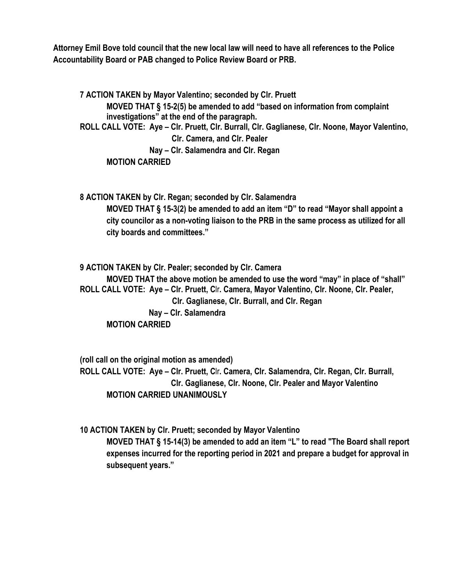**Attorney Emil Bove told council that the new local law will need to have all references to the Police Accountability Board or PAB changed to Police Review Board or PRB.**

**7 ACTION TAKEN by Mayor Valentino; seconded by Clr. Pruett MOVED THAT § 15-2(5) be amended to add "based on information from complaint investigations" at the end of the paragraph. ROLL CALL VOTE: Aye – Clr. Pruett, Clr. Burrall, Clr. Gaglianese, Clr. Noone, Mayor Valentino, Clr. Camera, and Clr. Pealer Nay – Clr. Salamendra and Clr. Regan MOTION CARRIED**

**8 ACTION TAKEN by Clr. Regan; seconded by Clr. Salamendra MOVED THAT § 15-3(2) be amended to add an item "D" to read "Mayor shall appoint a city councilor as a non-voting liaison to the PRB in the same process as utilized for all city boards and committees."**

**9 ACTION TAKEN by Clr. Pealer; seconded by Clr. Camera MOVED THAT the above motion be amended to use the word "may" in place of "shall" ROLL CALL VOTE: Aye – Clr. Pruett, C**lr**. Camera, Mayor Valentino, Clr. Noone, Clr. Pealer, Clr. Gaglianese, Clr. Burrall, and Clr. Regan Nay – Clr. Salamendra MOTION CARRIED**

**(roll call on the original motion as amended) ROLL CALL VOTE: Aye – Clr. Pruett, C**lr**. Camera, Clr. Salamendra, Clr. Regan, Clr. Burrall, Clr. Gaglianese, Clr. Noone, Clr. Pealer and Mayor Valentino MOTION CARRIED UNANIMOUSLY**

**10 ACTION TAKEN by Clr. Pruett; seconded by Mayor Valentino MOVED THAT § 15-14(3) be amended to add an item "L" to read "The Board shall report expenses incurred for the reporting period in 2021 and prepare a budget for approval in subsequent years."**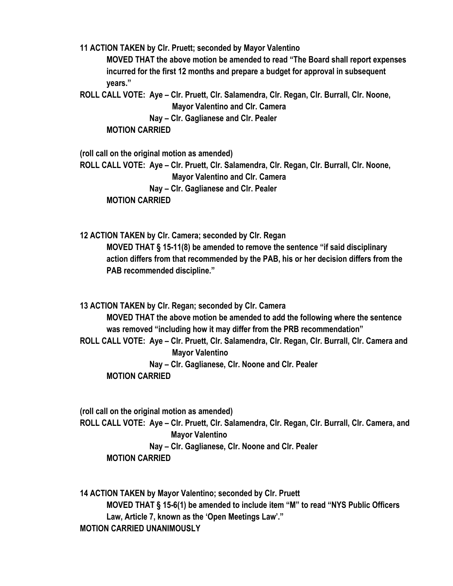**11 ACTION TAKEN by Clr. Pruett; seconded by Mayor Valentino**

**MOVED THAT the above motion be amended to read "The Board shall report expenses incurred for the first 12 months and prepare a budget for approval in subsequent years."**

**ROLL CALL VOTE: Aye – Clr. Pruett, Clr. Salamendra, Clr. Regan, Clr. Burrall, Clr. Noone, Mayor Valentino and Clr. Camera Nay – Clr. Gaglianese and Clr. Pealer**

**MOTION CARRIED**

**(roll call on the original motion as amended) ROLL CALL VOTE: Aye – Clr. Pruett, Clr. Salamendra, Clr. Regan, Clr. Burrall, Clr. Noone, Mayor Valentino and Clr. Camera Nay – Clr. Gaglianese and Clr. Pealer MOTION CARRIED**

**12 ACTION TAKEN by Clr. Camera; seconded by Clr. Regan MOVED THAT § 15-11(8) be amended to remove the sentence "if said disciplinary action differs from that recommended by the PAB, his or her decision differs from the PAB recommended discipline."** 

**13 ACTION TAKEN by Clr. Regan; seconded by Clr. Camera**

**MOVED THAT the above motion be amended to add the following where the sentence was removed "including how it may differ from the PRB recommendation" ROLL CALL VOTE: Aye – Clr. Pruett, Clr. Salamendra, Clr. Regan, Clr. Burrall, Clr. Camera and Mayor Valentino Nay – Clr. Gaglianese, Clr. Noone and Clr. Pealer MOTION CARRIED**

**(roll call on the original motion as amended) ROLL CALL VOTE: Aye – Clr. Pruett, Clr. Salamendra, Clr. Regan, Clr. Burrall, Clr. Camera, and Mayor Valentino Nay – Clr. Gaglianese, Clr. Noone and Clr. Pealer MOTION CARRIED**

**14 ACTION TAKEN by Mayor Valentino; seconded by Clr. Pruett MOVED THAT § 15-6(1) be amended to include item "M" to read "NYS Public Officers Law, Article 7, known as the 'Open Meetings Law'." MOTION CARRIED UNANIMOUSLY**